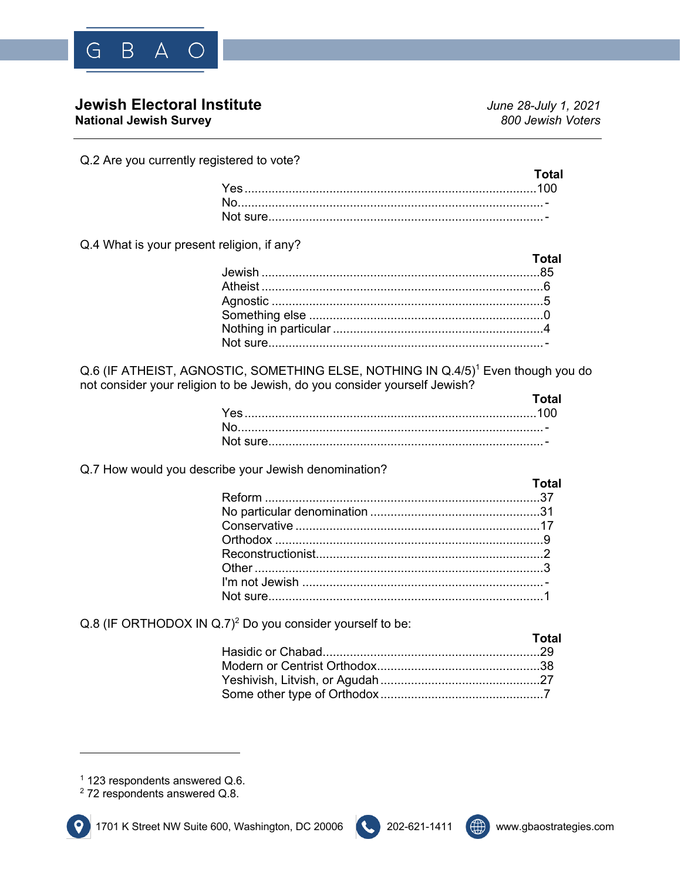

# **Jewish Electoral Institute** *June 28-July 1, 2021*

**National Jewish Survey** *800 Jewish Voters*

Q.2 Are you currently registered to vote?

Q.4 What is your present religion, if any?

| <b>Example 2019 Total</b> |
|---------------------------|
|                           |
|                           |
|                           |
|                           |
|                           |
|                           |

Q.6 (IF ATHEIST, AGNOSTIC, SOMETHING ELSE, NOTHING IN Q.4/5)<sup>1</sup> Even though you do not consider your religion to be Jewish, do you consider yourself Jewish?

| <b>Total</b> |
|--------------|
|              |
|              |
|              |

Q.7 How would you describe your Jewish denomination?

| <b>Total</b> |
|--------------|
|              |
|              |
|              |
|              |
|              |
|              |
|              |
|              |
|              |

Q.8 (IF ORTHODOX IN Q.7)<sup>2</sup> Do you consider yourself to be:

| Total |
|-------|
|       |
|       |
|       |
|       |

<sup>1</sup> 123 respondents answered Q.6.





<sup>2</sup> 72 respondents answered Q.8.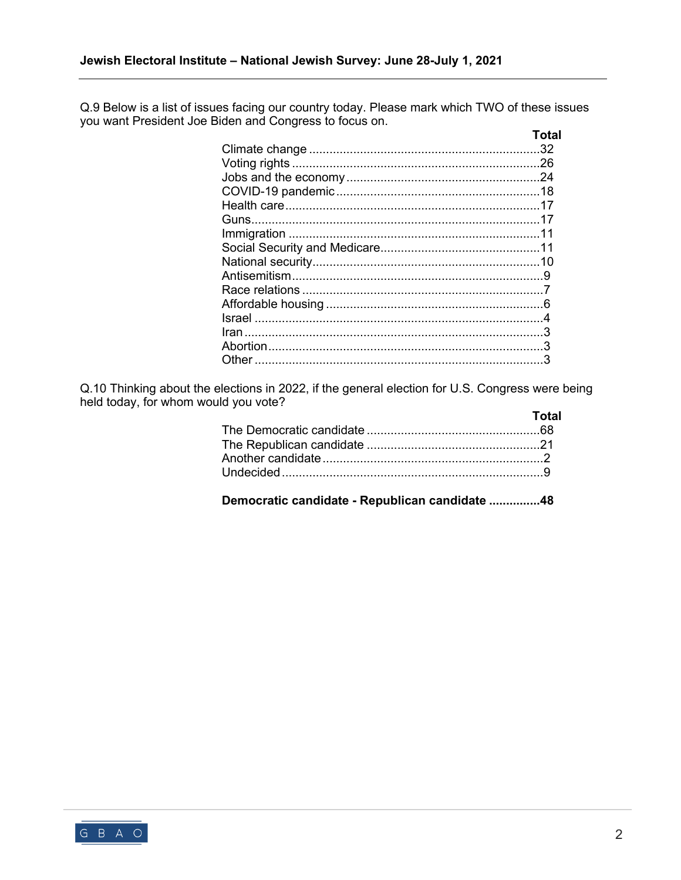Q.9 Below is a list of issues facing our country today. Please mark which TWO of these issues you want President Joe Biden and Congress to focus on.

| <b>Total</b> |
|--------------|
|              |
|              |
|              |
|              |
|              |
|              |
|              |
|              |
|              |
|              |
|              |
|              |
|              |
|              |
|              |
|              |

Q.10 Thinking about the elections in 2022, if the general election for U.S. Congress were being held today, for whom would you vote?

| Total |
|-------|
|       |
|       |
|       |
|       |
|       |

**Democratic candidate - Republican candidate ...............48**

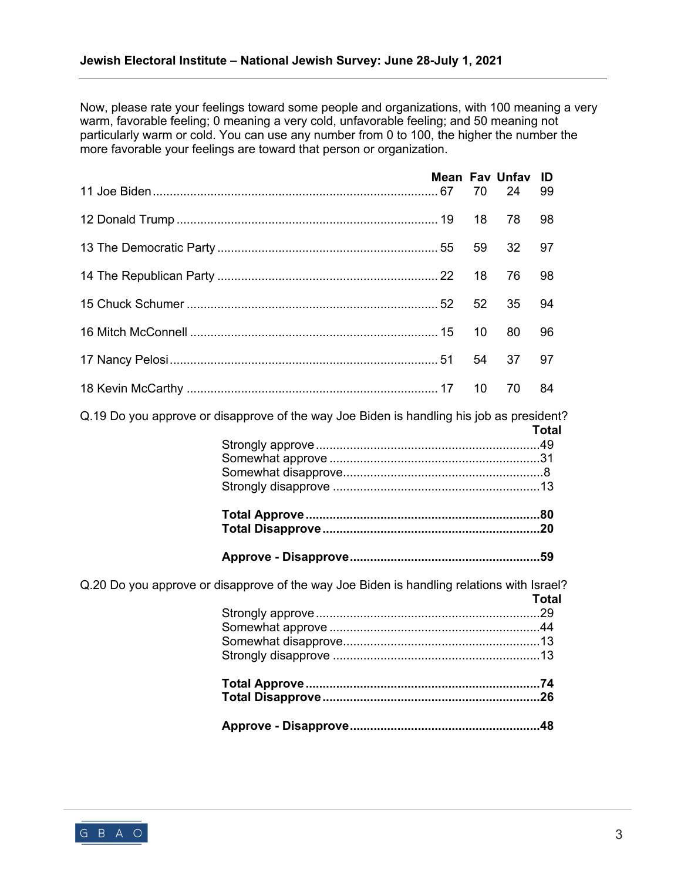Now, please rate your feelings toward some people and organizations, with 100 meaning a very warm, favorable feeling; 0 meaning a very cold, unfavorable feeling; and 50 meaning not particularly warm or cold. You can use any number from 0 to 100, the higher the number the more favorable your feelings are toward that person or organization.

|  | <b>Mean Fav Unfav ID</b> |      |  |
|--|--------------------------|------|--|
|  |                          |      |  |
|  |                          |      |  |
|  |                          |      |  |
|  |                          |      |  |
|  |                          |      |  |
|  |                          |      |  |
|  |                          | - 84 |  |

Q.19 Do you approve or disapprove of the way Joe Biden is handling his job as president?

| <b>Total</b> |
|--------------|
|              |
|              |
|              |
|              |
|              |
|              |
|              |

**Approve - Disapprove........................................................59**

Q.20 Do you approve or disapprove of the way Joe Biden is handling relations with Israel? **Total** Strongly approve..................................................................29 Somewhat approve ..............................................................44 Somewhat disapprove..........................................................13 Strongly disapprove

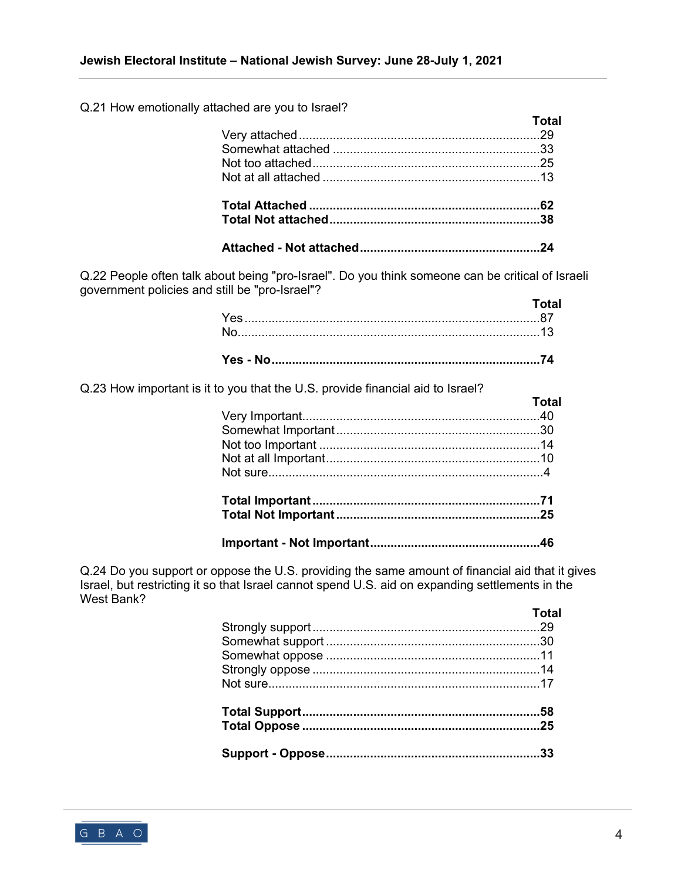#### Q.21 How emotionally attached are you to Israel?

| $30.109$ and you to foreign. | Total |
|------------------------------|-------|
|                              |       |
|                              |       |
|                              |       |
|                              |       |
|                              |       |
|                              |       |

Q.22 People often talk about being "pro-Israel". Do you think someone can be critical of Israeli government policies and still be "pro-Israel"?

| <b>Total</b> |
|--------------|
|              |
|              |

Q.23 How important is it to you that the U.S. provide financial aid to Israel?

| <b>Total</b> |
|--------------|
|              |
|              |
|              |
|              |
|              |
|              |
|              |
|              |

Q.24 Do you support or oppose the U.S. providing the same amount of financial aid that it gives Israel, but restricting it so that Israel cannot spend U.S. aid on expanding settlements in the West Bank?

| Total |
|-------|
|       |
|       |
|       |
|       |
|       |
|       |
|       |
|       |

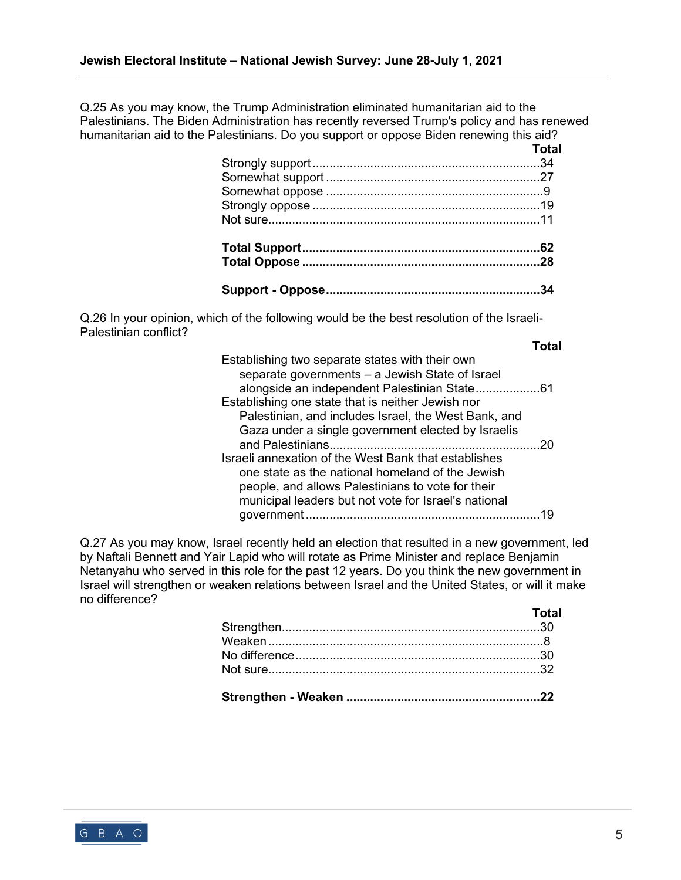Q.25 As you may know, the Trump Administration eliminated humanitarian aid to the Palestinians. The Biden Administration has recently reversed Trump's policy and has renewed humanitarian aid to the Palestinians. Do you support or oppose Biden renewing this aid?

| <b>Total</b> |
|--------------|
|              |
|              |
|              |
|              |
|              |
|              |
|              |
|              |

Q.26 In your opinion, which of the following would be the best resolution of the Israeli-Palestinian conflict? **Total**

| Establishing two separate states with their own<br>separate governments - a Jewish State of Israel |    |
|----------------------------------------------------------------------------------------------------|----|
| alongside an independent Palestinian State61                                                       |    |
| Establishing one state that is neither Jewish nor                                                  |    |
| Palestinian, and includes Israel, the West Bank, and                                               |    |
| Gaza under a single government elected by Israelis                                                 |    |
|                                                                                                    | 20 |
| Israeli annexation of the West Bank that establishes                                               |    |
| one state as the national homeland of the Jewish                                                   |    |
| people, and allows Palestinians to vote for their                                                  |    |
| municipal leaders but not vote for Israel's national                                               |    |
| government<br>                                                                                     |    |
|                                                                                                    |    |

Q.27 As you may know, Israel recently held an election that resulted in a new government, led by Naftali Bennett and Yair Lapid who will rotate as Prime Minister and replace Benjamin Netanyahu who served in this role for the past 12 years. Do you think the new government in Israel will strengthen or weaken relations between Israel and the United States, or will it make no difference?

| Total |
|-------|
|       |
|       |
|       |
|       |
|       |

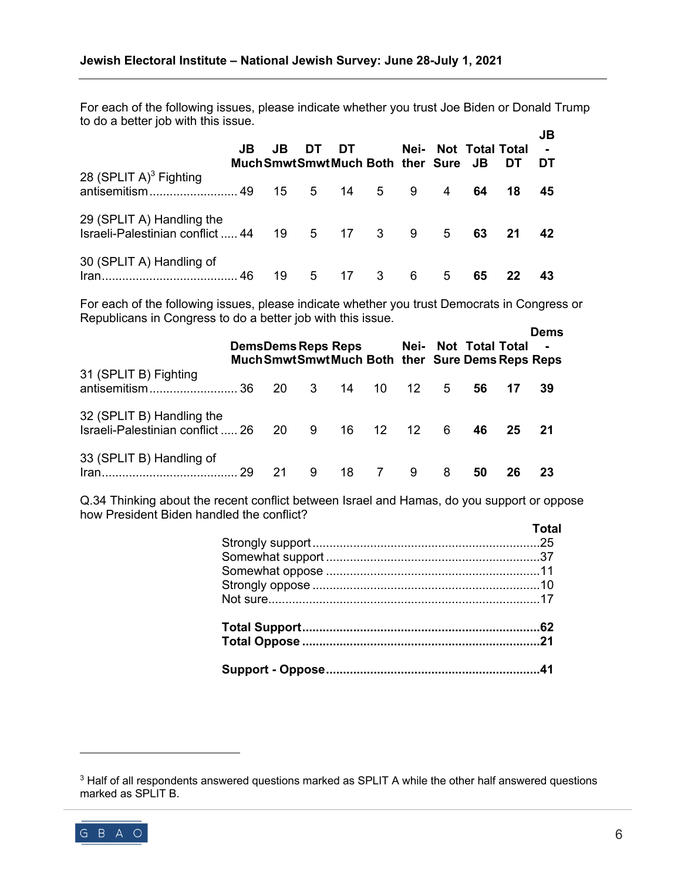For each of the following issues, please indicate whether you trust Joe Biden or Donald Trump to do a better job with this issue.  $\overline{\mathbf{B}}$ 

|                                                                    | JB | JB<br>Much Smwt Smwt Much Both ther Sure JB | DT. | DT |                            |   |                | Nei- Not Total Total | DT | JB<br>$\mathbf{r}$<br>DT |  |
|--------------------------------------------------------------------|----|---------------------------------------------|-----|----|----------------------------|---|----------------|----------------------|----|--------------------------|--|
| 28 (SPLIT $A$ ) <sup>3</sup> Fighting                              |    | 15 5                                        |     | 14 | 5 <sup>5</sup>             | 9 | 4              | 64                   | 18 | 45                       |  |
| 29 (SPLIT A) Handling the<br>Israeli-Palestinian conflict  44 19 5 |    |                                             |     |    | $17 \quad 3$               | 9 | 5 <sup>5</sup> | 63                   | 21 | 42                       |  |
| 30 (SPLIT A) Handling of                                           |    | 19                                          | 5   | 17 | $\overline{\phantom{a}}$ 3 | 6 | 5              | 65                   | 22 |                          |  |

For each of the following issues, please indicate whether you trust Democrats in Congress or Republicans in Congress to do a better job with this issue.

|                                                               |     | <b>DemsDems Reps Reps</b> |     |    |       |                 |   | Nei- Not Total Total<br>Much Smwt Smwt Much Both ther Sure Dems Reps Reps |    | <b>Dems</b><br>$\blacksquare$ |
|---------------------------------------------------------------|-----|---------------------------|-----|----|-------|-----------------|---|---------------------------------------------------------------------------|----|-------------------------------|
| 31 (SPLIT B) Fighting<br>antisemitism                         | -36 | 20                        | - 3 | 14 | 10    | 12 <sup>1</sup> | 5 | 56                                                                        | 17 | 39                            |
| 32 (SPLIT B) Handling the<br>Israeli-Palestinian conflict  26 |     | 20                        | 9   |    | 16 12 | 12 <sup>°</sup> | 6 | 46                                                                        | 25 | 21                            |
| 33 (SPLIT B) Handling of<br>Iran.                             | 29  | 21                        | 9   | 18 | 7     | 9               | 8 | 50                                                                        | 26 | 23                            |

Q.34 Thinking about the recent conflict between Israel and Hamas, do you support or oppose how President Biden handled the conflict?

| Total |
|-------|
|       |
|       |
|       |
|       |
|       |
|       |
|       |
|       |

<sup>&</sup>lt;sup>3</sup> Half of all respondents answered questions marked as SPLIT A while the other half answered questions marked as SPLIT B.

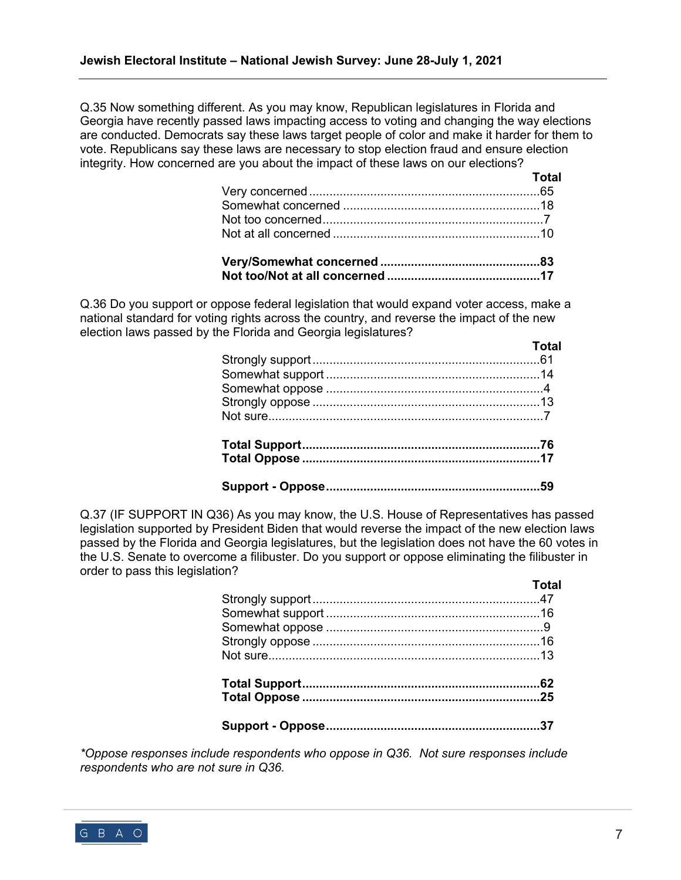Q.35 Now something different. As you may know, Republican legislatures in Florida and Georgia have recently passed laws impacting access to voting and changing the way elections are conducted. Democrats say these laws target people of color and make it harder for them to vote. Republicans say these laws are necessary to stop election fraud and ensure election integrity. How concerned are you about the impact of these laws on our elections?

| <u>and the state of</u> <b>Total</b> |
|--------------------------------------|
|                                      |
|                                      |
|                                      |
|                                      |
|                                      |

Q.36 Do you support or oppose federal legislation that would expand voter access, make a national standard for voting rights across the country, and reverse the impact of the new election laws passed by the Florida and Georgia legislatures?

Q.37 (IF SUPPORT IN Q36) As you may know, the U.S. House of Representatives has passed legislation supported by President Biden that would reverse the impact of the new election laws passed by the Florida and Georgia legislatures, but the legislation does not have the 60 votes in the U.S. Senate to overcome a filibuster. Do you support or oppose eliminating the filibuster in order to pass this legislation?

| i otal |
|--------|
|        |
|        |
|        |
|        |
|        |
|        |
|        |
|        |
|        |

*\*Oppose responses include respondents who oppose in Q36. Not sure responses include respondents who are not sure in Q36.*



**Total**

**Total**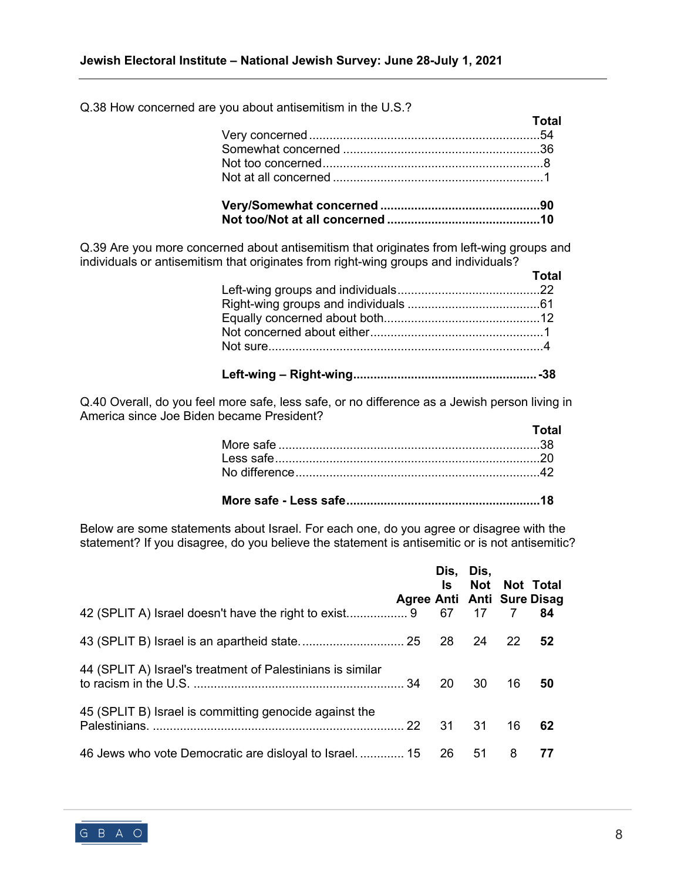Q.38 How concerned are you about antisemitism in the U.S.?

| <b>Total</b> |
|--------------|
|              |
|              |
|              |
|              |
|              |

Q.39 Are you more concerned about antisemitism that originates from left-wing groups and individuals or antisemitism that originates from right-wing groups and individuals?

| <b>Total</b> |
|--------------|
|              |
|              |
|              |
|              |
|              |
|              |

Q.40 Overall, do you feel more safe, less safe, or no difference as a Jewish person living in America since Joe Biden became President?

| Total |
|-------|
|       |
|       |
|       |
|       |

|--|

Below are some statements about Israel. For each one, do you agree or disagree with the statement? If you disagree, do you believe the statement is antisemitic or is not antisemitic?

|                                                            | Agree Anti Anti Sure Disag | ls l | Dis, Dis, | Not Not Total |    |
|------------------------------------------------------------|----------------------------|------|-----------|---------------|----|
|                                                            |                            |      |           |               | 84 |
|                                                            |                            |      |           |               | 52 |
| 44 (SPLIT A) Israel's treatment of Palestinians is similar |                            | -20  | 30 I      | 16            | 50 |
| 45 (SPLIT B) Israel is committing genocide against the     |                            |      | 31        | 16            | 62 |
| 46 Jews who vote Democratic are disloyal to Israel.  15 26 |                            |      | -51       | 8             | 77 |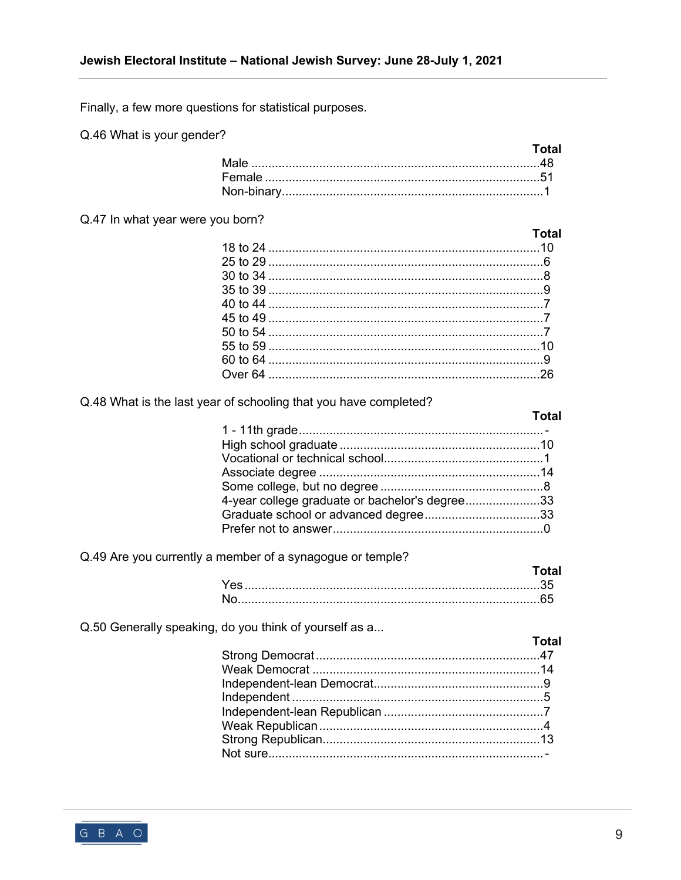Finally, a few more questions for statistical purposes.

Q.46 What is your gender?

| Total |
|-------|
|       |
|       |
|       |

#### Q.47 In what year were you born?

| <b>Total</b> |
|--------------|
|              |
|              |
|              |
|              |
|              |
|              |
|              |
|              |
|              |
|              |

### Q.48 What is the last year of schooling that you have completed?

## 4-year college graduate or bachelor's degree.......................33

Q.49 Are you currently a member of a synagogue or temple?

Q.50 Generally speaking, do you think of yourself as a...

| <b>Total</b> |
|--------------|
|              |
|              |
|              |
|              |
|              |
|              |
|              |
|              |
|              |



**Total**